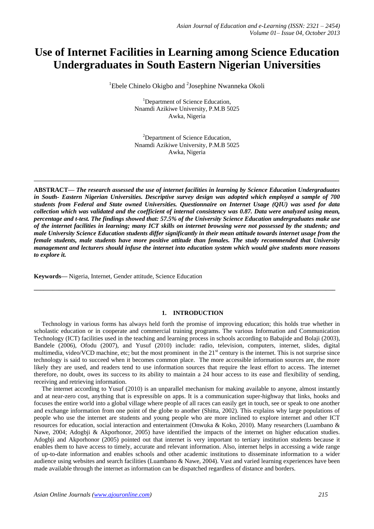# **Use of Internet Facilities in Learning among Science Education Undergraduates in South Eastern Nigerian Universities**

<sup>1</sup>Ebele Chinelo Okigbo and <sup>2</sup>Josephine Nwanneka Okoli

<sup>1</sup>Department of Science Education, Nnamdi Azikiwe University, P.M.B 5025 Awka, Nigeria

<sup>2</sup>Department of Science Education, Nnamdi Azikiwe University, P.M.B 5025 Awka, Nigeria

**\_\_\_\_\_\_\_\_\_\_\_\_\_\_\_\_\_\_\_\_\_\_\_\_\_\_\_\_\_\_\_\_\_\_\_\_\_\_\_\_\_\_\_\_\_\_\_\_\_\_\_\_\_\_\_\_\_\_\_\_\_\_\_\_\_\_\_\_\_\_\_\_\_\_\_\_\_\_\_\_\_**

**ABSTRACT—** *The research assessed the use of internet facilities in learning by Science Education Undergraduates in South- Eastern Nigerian Universities. Descriptive survey design was adopted which employed a sample of 700 students from Federal and State owned Universities. Questionnaire on Internet Usage (QIU) was used for data collection which was validated and the coefficient of internal consistency was 0.87. Data were analyzed using mean, percentage and t-test. The findings showed that: 57.5% of the University Science Education undergraduates make use of the internet facilities in learning; many ICT skills on internet browsing were not possessed by the students; and male University Science Education students differ significantly in their mean attitude towards internet usage from the female students, male students have more positive attitude than females. The study recommended that University management and lecturers should infuse the internet into education system which would give students more reasons to explore it.*

**Keywords—** Nigeria, Internet, Gender attitude, Science Education

## **1. INTRODUCTION**

**\_\_\_\_\_\_\_\_\_\_\_\_\_\_\_\_\_\_\_\_\_\_\_\_\_\_\_\_\_\_\_\_\_\_\_\_\_\_\_\_\_\_\_\_\_\_\_\_\_\_\_\_\_\_\_\_\_\_\_\_\_\_\_\_\_\_\_\_\_\_\_\_\_\_\_\_\_\_\_\_\_\_\_\_\_\_\_\_\_\_\_\_\_\_\_\_**

 Technology in various forms has always held forth the promise of improving education; this holds true whether in scholastic education or in cooperate and commercial training programs. The various Information and Communication Technology (ICT) facilities used in the teaching and learning process in schools according to Babajide and Bolaji (2003), Bandele (2006), Ofodu (2007), and Yusuf (2010) include: radio, television, computers, internet, slides, digital multimedia, video/VCD machine, etc; but the most prominent in the 21<sup>st</sup> century is the internet. This is not surprise since technology is said to succeed when it becomes common place. The more accessible information sources are, the more likely they are used, and readers tend to use information sources that require the least effort to access. The internet therefore, no doubt, owes its success to its ability to maintain a 24 hour access to its ease and flexibility of sending, receiving and retrieving information.

 The internet according to Yusuf (2010) is an unparallel mechanism for making available to anyone, almost instantly and at near-zero cost, anything that is expressible on apps. It is a communication super-highway that links, hooks and focuses the entire world into a global village where people of all races can easily get in touch, see or speak to one another and exchange information from one point of the globe to another (Shitta, 2002). This explains why large populations of people who use the internet are students and young people who are more inclined to explore internet and other ICT resources for education, social interaction and entertainment (Onwuka & Koko, 2010). Many researchers (Luambano & Nawe, 2004; Adogbji & Akporhonor, 2005) have identified the impacts of the internet on higher education studies. Adogbji and Akporhonor (2005) pointed out that internet is very important to tertiary institution students because it enables them to have access to timely, accurate and relevant information. Also, internet helps in accessing a wide range of up-to-date information and enables schools and other academic institutions to disseminate information to a wider audience using websites and search facilities (Luambano & Nawe, 2004). Vast and varied learning experiences have been made available through the internet as information can be dispatched regardless of distance and borders.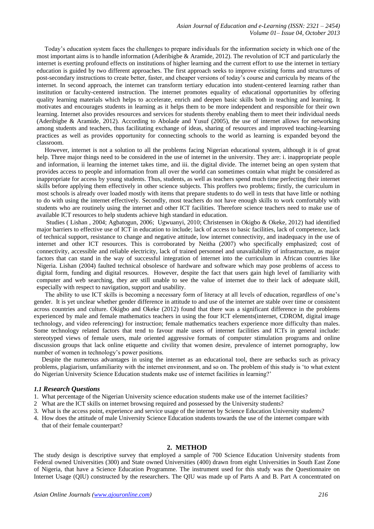Today's education system faces the challenges to prepare individuals for the information society in which one of the most important aims is to handle information (Aderibigbe & Aramide, 2012). The revolution of ICT and particularly the internet is exerting profound effects on institutions of higher learning and the current effort to use the internet in tertiary education is guided by two different approaches. The first approach seeks to improve existing forms and structures of post-secondary instructions to create better, faster, and cheaper versions of today's course and curricula by means of the internet. In second approach, the internet can transform tertiary education into student-centered learning rather than institution or faculty-centered instruction. The internet promotes equality of educational opportunities by offering quality learning materials which helps to accelerate, enrich and deepen basic skills both in teaching and learning. It motivates and encourages students in learning as it helps them to be more independent and responsible for their own learning. Internet also provides resources and services for students thereby enabling them to meet their individual needs (Aderibigbe & Aramide, 2012). According to Abolade and Yusuf (2005), the use of internet allows for networking among students and teachers, thus facilitating exchange of ideas, sharing of resources and improved teaching-learning practices as well as provides opportunity for connecting schools to the world as learning is expanded beyond the classroom.

 However, internet is not a solution to all the problems facing Nigerian educational system, although it is of great help. Three major things need to be considered in the use of internet in the university. They are: i. inappropriate people and information, ii learning the internet takes time, and iii. the digital divide. The internet being an open system that provides access to people and information from all over the world can sometimes contain what might be considered as inappropriate for access by young students. Thus, students, as well as teachers spend much time perfecting their internet skills before applying them effectively in other science subjects. This proffers two problems; firstly, the curriculum in most schools is already over loaded mostly with items that prepare students to do well in tests that have little or nothing to do with using the internet effectively. Secondly, most teachers do not have enough skills to work comfortably with students who are routinely using the internet and other ICT facilities. Therefore science teachers need to make use of available ICT resources to help students achieve high standard in education.

 Studies ( Lishan , 2004; Agbatogun, 2006; Ugwuanyi, 2010; Christensen in Okigbo & Okeke, 2012) had identified major barriers to effective use of ICT in education to include; lack of access to basic facilities, lack of competence, lack of technical support, resistance to change and negative attitude, low internet connectivity, and inadequacy in the use of internet and other ICT resources. This is corroborated by Neitha (2007) who specifically emphasized; cost of connectivity, accessible and reliable electricity, lack of trained personnel and unavailability of infrastructure, as major factors that can stand in the way of successful integration of internet into the curriculum in African countries like Nigeria. Lishan (2004) faulted technical obsolesce of hardware and software which may pose problems of access to digital form, funding and digital resources. However, despite the fact that users gain high level of familiarity with computer and web searching, they are still unable to see the value of internet due to their lack of adequate skill, especially with respect to navigation, support and usability.

 The ability to use ICT skills is becoming a necessary form of literacy at all levels of education, regardless of one's gender. It is yet unclear whether gender difference in attitude to and use of the internet are stable over time or consistent across countries and culture. Okigbo and Okeke (2012) found that there was a significant difference in the problems experienced by male and female mathematics teachers in using the four ICT elements(internet, CDROM, digital image technology, and video referencing) for instruction; female mathematics teachers experience more difficulty than males. Some technology related factors that tend to favour male users of internet facilities and ICTs in general include: stereotyped views of female users, male oriented aggressive formats of computer stimulation programs and online discussion groups that lack online etiquette and civility that women desire, prevalence of internet pornography, low number of women in technology's power positions.

 Despite the numerous advantages in using the internet as an educational tool, there are setbacks such as privacy problems, plagiarism, unfamiliarity with the internet environment, and so on. The problem of this study is 'to what extent do Nigerian University Science Education students make use of internet facilities in learning?'

#### *1.1 Research Questions*

- 1. What percentage of the Nigerian University science education students make use of the internet facilities?
- 2 What are the ICT skills on internet browsing required and possessed by the University students?
- 3. What is the access point, experience and service usage of the internet by Science Education University students?
- 4. How does the attitude of male University Science Education students towards the use of the internet compare with that of their female counterpart?

#### **2. METHOD**

The study design is descriptive survey that employed a sample of 700 Science Education University students from Federal owned Universities (300) and State owned Universities (400) drawn from eight Universities in South East Zone of Nigeria, that have a Science Education Programme. The instrument used for this study was the Questionnaire on Internet Usage (QIU) constructed by the researchers. The QIU was made up of Parts A and B. Part A concentrated on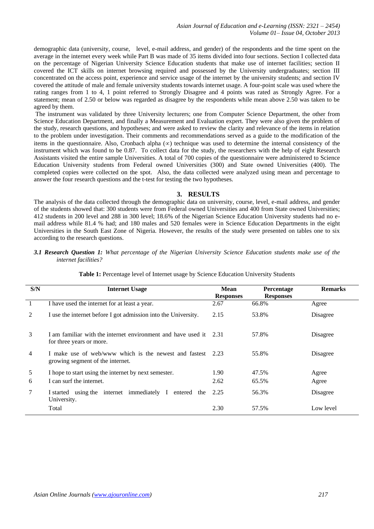demographic data (university, course, level, e-mail address, and gender) of the respondents and the time spent on the average in the internet every week while Part B was made of 35 items divided into four sections. Section I collected data on the percentage of Nigerian University Science Education students that make use of internet facilities; section II covered the ICT skills on internet browsing required and possessed by the University undergraduates; section III concentrated on the access point, experience and service usage of the internet by the university students; and section IV covered the attitude of male and female university students towards internet usage. A four-point scale was used where the rating ranges from 1 to 4, 1 point referred to Strongly Disagree and 4 points was rated as Strongly Agree. For a statement; mean of 2.50 or below was regarded as disagree by the respondents while mean above 2.50 was taken to be agreed by them.

The instrument was validated by three University lecturers; one from Computer Science Department, the other from Science Education Department, and finally a Measurement and Evaluation expert. They were also given the problem of the study, research questions, and hypotheses; and were asked to review the clarity and relevance of the items in relation to the problem under investigation. Their comments and recommendations served as a guide to the modification of the items in the questionnaire. Also, Cronbach alpha  $(\infty)$  technique was used to determine the internal consistency of the instrument which was found to be 0.87. To collect data for the study, the researchers with the help of eight Research Assistants visited the entire sample Universities. A total of 700 copies of the questionnaire were administered to Science Education University students from Federal owned Universities (300) and State owned Universities (400). The completed copies were collected on the spot. Also, the data collected were analyzed using mean and percentage to answer the four research questions and the t-test for testing the two hypotheses.

## **3. RESULTS**

The analysis of the data collected through the demographic data on university, course, level, e-mail address, and gender of the students showed that: 300 students were from Federal owned Universities and 400 from State owned Universities; 412 students in 200 level and 288 in 300 level; 18.6% of the Nigerian Science Education University students had no email address while 81.4 % had; and 180 males and 520 females were in Science Education Departments in the eight Universities in the South East Zone of Nigeria. However, the results of the study were presented on tables one to six according to the research questions.

## *3.1 Research Question 1: What percentage of the Nigerian University Science Education students make use of the internet facilities?*

| S/N | <b>Internet Usage</b>                                                                          | <b>Mean</b><br><b>Responses</b> | <b>Percentage</b><br><b>Responses</b> | <b>Remarks</b> |
|-----|------------------------------------------------------------------------------------------------|---------------------------------|---------------------------------------|----------------|
| 1   | I have used the internet for at least a year.                                                  | 2.67                            | 66.8%                                 | Agree          |
| 2   | I use the internet before I got admission into the University.                                 | 2.15                            | 53.8%                                 | Disagree       |
| 3   | I am familiar with the internet environment and have used it 2.31<br>for three years or more.  |                                 | 57.8%                                 | Disagree       |
| 4   | I make use of web/www which is the newest and fastest 2.23<br>growing segment of the internet. |                                 | 55.8%                                 | Disagree       |
| 5   | I hope to start using the internet by next semester.                                           | 1.90                            | 47.5%                                 | Agree          |
| 6   | I can surf the internet.                                                                       | 2.62                            | 65.5%                                 | Agree          |
| 7   | using the internet immediately I<br>entered the<br>I started<br>University.                    | 2.25                            | 56.3%                                 | Disagree       |
|     | Total                                                                                          | 2.30                            | 57.5%                                 | Low level      |

**Table 1:** Percentage level of Internet usage by Science Education University Students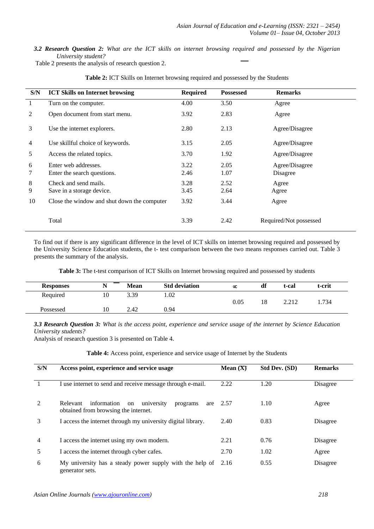*3.2 Research Question 2: What are the ICT skills on internet browsing required and possessed by the Nigerian University student?*

Table 2 presents the analysis of research question 2.

| S/N            | <b>ICT Skills on Internet browsing</b>      | <b>Required</b> | <b>Possessed</b> | <b>Remarks</b>         |
|----------------|---------------------------------------------|-----------------|------------------|------------------------|
| -1             | Turn on the computer.                       | 4.00            | 3.50             | Agree                  |
| 2              | Open document from start menu.              | 3.92            | 2.83             | Agree                  |
| 3              | Use the internet explorers.                 | 2.80            | 2.13             | Agree/Disagree         |
| $\overline{4}$ | Use skillful choice of keywords.            | 3.15            | 2.05             | Agree/Disagree         |
| 5              | Access the related topics.                  | 3.70            | 1.92             | Agree/Disagree         |
| 6              | Enter web addresses.                        | 3.22            | 2.05             | Agree/Disagree         |
| 7              | Enter the search questions.                 | 2.46            | 1.07             | Disagree               |
| 8              | Check and send mails.                       | 3.28            | 2.52             | Agree                  |
| 9              | Save in a storage device.                   | 3.45            | 2.64             | Agree                  |
| 10             | Close the window and shut down the computer | 3.92            | 3.44             | Agree                  |
|                | Total                                       | 3.39            | 2.42             | Required/Not possessed |

**Table 2:** ICT Skills on Internet browsing required and possessed by the Students

To find out if there is any significant difference in the level of ICT skills on internet browsing required and possessed by the University Science Education students, the t- test comparison between the two means responses carried out. Table 3 presents the summary of the analysis.

**Table 3:** The t-test comparison of ICT Skills on Internet browsing required and possessed by students

| <b>Responses</b> | . . | <b>Mean</b> | <b>Std deviation</b> | $\infty$ | df | t-cal  | t-crit |
|------------------|-----|-------------|----------------------|----------|----|--------|--------|
| Required         | 10  | 3.39        | . 02                 | 0.05     | 18 | ኅ ኅ1ኅ  | 1.734  |
| Possessed        | 10  | 2.42        | 0.94                 |          |    | 4.41 L |        |

*3.3 Research Question 3: What is the access point, experience and service usage of the internet by Science Education University students?*

Analysis of research question 3 is presented on Table 4.

**Table 4:** Access point, experience and service usage of Internet by the Students

| S/N | Access point, experience and service usage                                                             | Mean $(X)$ | <b>Std Dev. (SD)</b> | <b>Remarks</b> |
|-----|--------------------------------------------------------------------------------------------------------|------------|----------------------|----------------|
|     | I use internet to send and receive message through e-mail.                                             | 2.22       | 1.20                 | Disagree       |
| 2   | information<br>university<br>Relevant<br>programs<br>on<br>are<br>obtained from browsing the internet. | 2.57       | 1.10                 | Agree          |
| 3   | I access the internet through my university digital library.                                           | 2.40       | 0.83                 | Disagree       |
| 4   | I access the internet using my own modern.                                                             | 2.21       | 0.76                 | Disagree       |
| 5   | I access the internet through cyber cafes.                                                             | 2.70       | 1.02                 | Agree          |
| 6   | My university has a steady power supply with the help of<br>generator sets.                            | 2.16       | 0.55                 | Disagree       |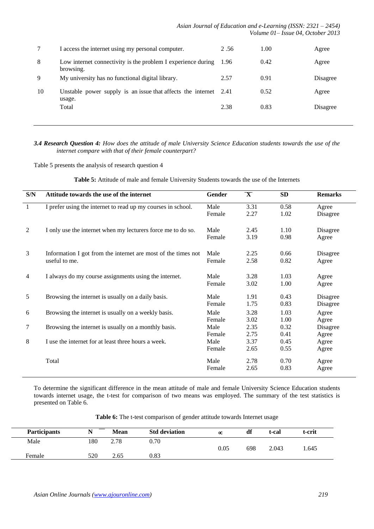|    | I access the internet using my personal computer.                          | 2.56  | 1.00 | Agree    |
|----|----------------------------------------------------------------------------|-------|------|----------|
| 8  | Low internet connectivity is the problem I experience during<br>browsing.  | -1.96 | 0.42 | Agree    |
| 9  | My university has no functional digital library.                           | 2.57  | 0.91 | Disagree |
| 10 | Unstable power supply is an issue that affects the internet 2.41<br>usage. |       | 0.52 | Agree    |
|    | Total                                                                      | 2.38  | 0.83 | Disagree |

## *3.4 Research Question 4: How does the attitude of male University Science Education students towards the use of the internet compare with that of their female counterpart?*

Table 5 presents the analysis of research question 4

| S/N            | Attitude towards the use of the internet                      | Gender | $\overline{\mathbf{X}}$ | <b>SD</b> | <b>Remarks</b> |
|----------------|---------------------------------------------------------------|--------|-------------------------|-----------|----------------|
| -1             | I prefer using the internet to read up my courses in school.  | Male   | 3.31                    | 0.58      | Agree          |
|                |                                                               | Female | 2.27                    | 1.02      | Disagree       |
| 2              | I only use the internet when my lecturers force me to do so.  | Male   | 2.45                    | 1.10      | Disagree       |
|                |                                                               | Female | 3.19                    | 0.98      | Agree          |
| 3              | Information I got from the internet are most of the times not | Male   | 2.25                    | 0.66      | Disagree       |
|                | useful to me.                                                 | Female | 2.58                    | 0.82      | Agree          |
| $\overline{4}$ | I always do my course assignments using the internet.         | Male   | 3.28                    | 1.03      | Agree          |
|                |                                                               | Female | 3.02                    | 1.00      | Agree          |
| 5              | Browsing the internet is usually on a daily basis.            | Male   | 1.91                    | 0.43      | Disagree       |
|                |                                                               | Female | 1.75                    | 0.83      | Disagree       |
| 6              | Browsing the internet is usually on a weekly basis.           | Male   | 3.28                    | 1.03      | Agree          |
|                |                                                               | Female | 3.02                    | 1.00      | Agree          |
| 7              | Browsing the internet is usually on a monthly basis.          | Male   | 2.35                    | 0.32      | Disagree       |
|                |                                                               | Female | 2.75                    | 0.41      | Agree          |
| 8              | I use the internet for at least three hours a week.           | Male   | 3.37                    | 0.45      | Agree          |
|                |                                                               | Female | 2.65                    | 0.55      | Agree          |
|                | Total                                                         | Male   | 2.78                    | 0.70      | Agree          |
|                |                                                               | Female | 2.65                    | 0.83      | Agree          |

To determine the significant difference in the mean attitude of male and female University Science Education students towards internet usage, the t-test for comparison of two means was employed. The summary of the test statistics is presented on Table 6.

| <b>Participants</b> | <b>BT</b> | Mean | <b>Std deviation</b> | $\infty$ | df  | t-cal | t-crit |
|---------------------|-----------|------|----------------------|----------|-----|-------|--------|
| Male                | 180       | 2.78 | 0.70                 |          |     |       |        |
| Female              | 520       | 2.65 | 0.83                 | 0.05     | 698 | 2.043 | .645   |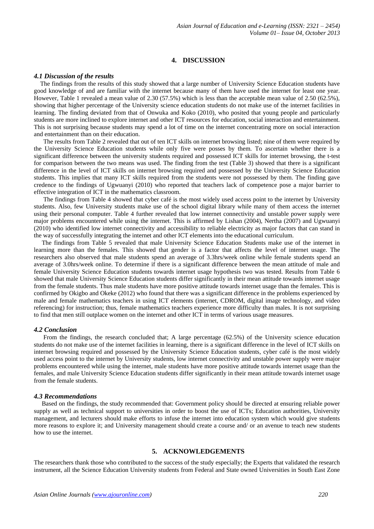## **4. DISCUSSION**

## *4.1 Discussion of the results*

 The findings from the results of this study showed that a large number of University Science Education students have good knowledge of and are familiar with the internet because many of them have used the internet for least one year. However, Table 1 revealed a mean value of 2.30 (57.5%) which is less than the acceptable mean value of 2.50 (62.5%), showing that higher percentage of the University science education students do not make use of the internet facilities in learning. The finding deviated from that of Onwuka and Koko (2010), who posited that young people and particularly students are more inclined to explore internet and other ICT resources for education, social interaction and entertainment. This is not surprising because students may spend a lot of time on the internet concentrating more on social interaction and entertainment than on their education.

 The results from Table 2 revealed that out of ten ICT skills on internet browsing listed; nine of them were required by the University Science Education students while only five were posses by them. To ascertain whether there is a significant difference between the university students required and possessed ICT skills for internet browsing, the t-test for comparison between the two means was used. The finding from the test (Table 3) showed that there is a significant difference in the level of ICT skills on internet browsing required and possessed by the University Science Education students. This implies that many ICT skills required from the students were not possessed by them. The finding gave credence to the findings of Ugwuanyi (2010) who reported that teachers lack of competence pose a major barrier to effective integration of ICT in the mathematics classroom.

 The findings from Table 4 showed that cyber café is the most widely used access point to the internet by University students. Also, few University students make use of the school digital library while many of them access the internet using their personal computer. Table 4 further revealed that low internet connectivity and unstable power supply were major problems encountered while using the internet. This is affirmed by Lishan (2004), Nertha (2007) and Ugwuanyi (2010) who identified low internet connectivity and accessibility to reliable electricity as major factors that can stand in the way of successfully integrating the internet and other ICT elements into the educational curriculum.

 The findings from Table 5 revealed that male University Science Education Students make use of the internet in learning more than the females. This showed that gender is a factor that affects the level of internet usage. The researchers also observed that male students spend an average of 3.3hrs/week online while female students spend an average of 3.0hrs/week online. To determine if there is a significant difference between the mean attitude of male and female University Science Education students towards internet usage hypothesis two was tested. Results from Table 6 showed that male University Science Education students differ significantly in their mean attitude towards internet usage from the female students. Thus male students have more positive attitude towards internet usage than the females. This is confirmed by Okigbo and Okeke (2012) who found that there was a significant difference in the problems experienced by male and female mathematics teachers in using ICT elements (internet, CDROM, digital image technology, and video referencing) for instruction; thus, female mathematics teachers experience more difficulty than males. It is not surprising to find that men still outplace women on the internet and other ICT in terms of various usage measures.

#### *4.2 Conclusion*

 From the findings, the research concluded that; A large percentage (62.5%) of the University science education students do not make use of the internet facilities in learning, there is a significant difference in the level of ICT skills on internet browsing required and possessed by the University Science Education students, cyber café is the most widely used access point to the internet by University students, low internet connectivity and unstable power supply were major problems encountered while using the internet, male students have more positive attitude towards internet usage than the females, and male University Science Education students differ significantly in their mean attitude towards internet usage from the female students.

#### *4.3 Recommendations*

 Based on the findings, the study recommended that: Government policy should be directed at ensuring reliable power supply as well as technical support to universities in order to boost the use of ICTs; Education authorities, University management, and lecturers should make efforts to infuse the internet into education system which would give students more reasons to explore it; and University management should create a course and/ or an avenue to teach new students how to use the internet.

## **5. ACKNOWLEDGEMENTS**

The researchers thank those who contributed to the success of the study especially; the Experts that validated the research instrument, all the Science Education University students from Federal and State owned Universities in South East Zone